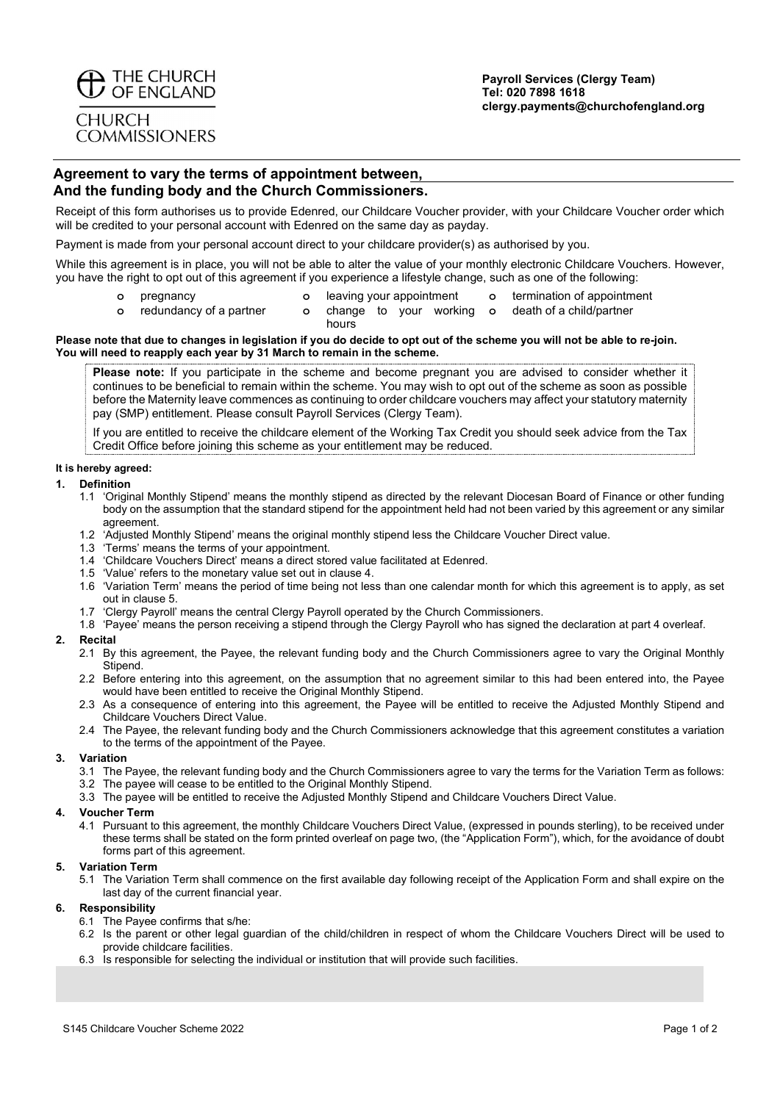## Agreement to vary the terms of appointment between, And the funding body and the Church Commissioners.

Receipt of this form authorises us to provide Edenred, our Childcare Voucher provider, with your Childcare Voucher order which will be credited to your personal account with Edenred on the same day as payday.

Payment is made from your personal account direct to your childcare provider(s) as authorised by you.

While this agreement is in place, you will not be able to alter the value of your monthly electronic Childcare Vouchers. However, you have the right to opt out of this agreement if you experience a lifestyle change, such as one of the following:

- 
- 
- o pregnancy o leaving your appointment o termination of appointment<br>o redundancy of a partner o change to your working o death of a child/partner
- o redundancy of a partner o change to your working hours
- o death of a child/partner
- 

Please note that due to changes in legislation if you do decide to opt out of the scheme you will not be able to re-join. You will need to reapply each year by 31 March to remain in the scheme.

Please note: If you participate in the scheme and become pregnant you are advised to consider whether it continues to be beneficial to remain within the scheme. You may wish to opt out of the scheme as soon as possible before the Maternity leave commences as continuing to order childcare vouchers may affect your statutory maternity pay (SMP) entitlement. Please consult Payroll Services (Clergy Team).

If you are entitled to receive the childcare element of the Working Tax Credit you should seek advice from the Tax Credit Office before joining this scheme as your entitlement may be reduced.

## It is hereby agreed:

## 1. Definition

- 1.1 'Original Monthly Stipend' means the monthly stipend as directed by the relevant Diocesan Board of Finance or other funding body on the assumption that the standard stipend for the appointment held had not been varied by this agreement or any similar agreement.
- 1.2 'Adjusted Monthly Stipend' means the original monthly stipend less the Childcare Voucher Direct value.
- 1.3 'Terms' means the terms of your appointment.
- 1.4 'Childcare Vouchers Direct' means a direct stored value facilitated at Edenred.
- 1.5 'Value' refers to the monetary value set out in clause 4.
- 1.6 'Variation Term' means the period of time being not less than one calendar month for which this agreement is to apply, as set out in clause 5.
- 1.7 'Clergy Payroll' means the central Clergy Payroll operated by the Church Commissioners.
- 1.8 'Payee' means the person receiving a stipend through the Clergy Payroll who has signed the declaration at part 4 overleaf.

### 2. Recital

- 2.1 By this agreement, the Payee, the relevant funding body and the Church Commissioners agree to vary the Original Monthly Stipend.
- 2.2 Before entering into this agreement, on the assumption that no agreement similar to this had been entered into, the Payee would have been entitled to receive the Original Monthly Stipend.
- 2.3 As a consequence of entering into this agreement, the Payee will be entitled to receive the Adjusted Monthly Stipend and Childcare Vouchers Direct Value.
- 2.4 The Payee, the relevant funding body and the Church Commissioners acknowledge that this agreement constitutes a variation to the terms of the appointment of the Payee.

### 3. Variation

- 3.1 The Payee, the relevant funding body and the Church Commissioners agree to vary the terms for the Variation Term as follows:
- 3.2 The payee will cease to be entitled to the Original Monthly Stipend.
- 3.3 The payee will be entitled to receive the Adjusted Monthly Stipend and Childcare Vouchers Direct Value.

## 4. Voucher Term

4.1 Pursuant to this agreement, the monthly Childcare Vouchers Direct Value, (expressed in pounds sterling), to be received under these terms shall be stated on the form printed overleaf on page two, (the "Application Form"), which, for the avoidance of doubt forms part of this agreement.

## 5. Variation Term

5.1 The Variation Term shall commence on the first available day following receipt of the Application Form and shall expire on the last day of the current financial year.

## 6. Responsibility

- 6.1 The Payee confirms that s/he:
- 6.2 Is the parent or other legal guardian of the child/children in respect of whom the Childcare Vouchers Direct will be used to provide childcare facilities.
- 6.3 Is responsible for selecting the individual or institution that will provide such facilities.